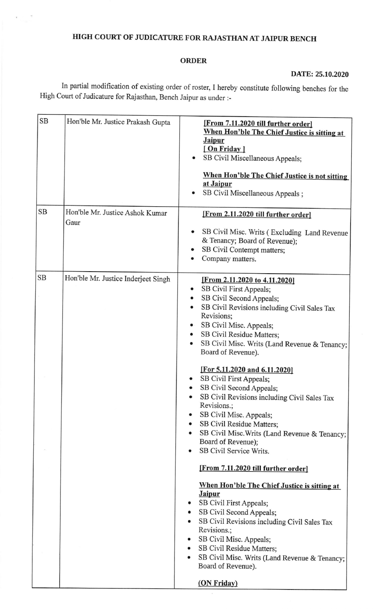## HIGH COURT OF JUDICATURE FOR RAJASTHAN AT JAIPUR BENCH

## ORDER

## DATE: 25.10.2020

In partial modification of existing order of roster, I hereby constitute following benches for the High Court of Judicature for Rajasthan, Bench Jaipur as under :-

| <b>SB</b> | Hon'ble Mr. Justice Prakash Gupta       | [From 7.11.2020 till further order]<br>When Hon'ble The Chief Justice is sitting at<br><b>Jaipur</b><br>[On Friday]<br>SB Civil Miscellaneous Appeals;<br>When Hon'ble The Chief Justice is not sitting<br>at Jaipur<br>SB Civil Miscellaneous Appeals;                                                                                                                                                                                                                                                                                                                                                 |
|-----------|-----------------------------------------|---------------------------------------------------------------------------------------------------------------------------------------------------------------------------------------------------------------------------------------------------------------------------------------------------------------------------------------------------------------------------------------------------------------------------------------------------------------------------------------------------------------------------------------------------------------------------------------------------------|
| SB        | Hon'ble Mr. Justice Ashok Kumar<br>Gaur | [From 2.11.2020 till further order]<br>SB Civil Misc. Writs (Excluding Land Revenue<br>& Tenancy; Board of Revenue);                                                                                                                                                                                                                                                                                                                                                                                                                                                                                    |
|           |                                         | SB Civil Contempt matters;<br>Company matters.                                                                                                                                                                                                                                                                                                                                                                                                                                                                                                                                                          |
| <b>SB</b> | Hon'ble Mr. Justice Inderjeet Singh     | [From 2.11.2020 to 4.11.2020]<br>SB Civil First Appeals;<br>SB Civil Second Appeals;<br>SB Civil Revisions including Civil Sales Tax<br>Revisions;<br>SB Civil Misc. Appeals;<br>SB Civil Residue Matters;<br>SB Civil Misc. Writs (Land Revenue & Tenancy;<br>Board of Revenue).<br>[For 5.11.2020 and 6.11.2020]<br>SB Civil First Appeals;<br>SB Civil Second Appeals;<br>SB Civil Revisions including Civil Sales Tax<br>Revisions.;<br>SB Civil Misc. Appeals;<br>SB Civil Residue Matters;<br>٠<br>SB Civil Misc. Writs (Land Revenue & Tenancy;<br>Board of Revenue);<br>SB Civil Service Writs. |
|           |                                         | [From 7.11.2020 till further order]<br>When Hon'ble The Chief Justice is sitting at<br><b>Jaipur</b><br>SB Civil First Appeals;<br>SB Civil Second Appeals;<br>$\bullet$<br>SB Civil Revisions including Civil Sales Tax<br>٠<br>Revisions.;<br>SB Civil Misc. Appeals;<br>SB Civil Residue Matters;<br>SB Civil Misc. Writs (Land Revenue & Tenancy;<br>Board of Revenue).<br>(ON Friday)                                                                                                                                                                                                              |